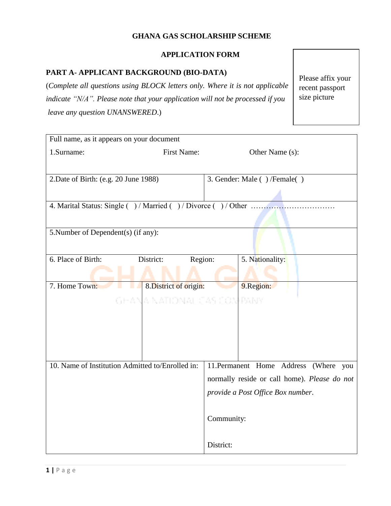### **GHANA GAS SCHOLARSHIP SCHEME**

## **APPLICATION FORM**

### **PART A- APPLICANT BACKGROUND (BIO-DATA)**

(*Complete all questions using BLOCK letters only. Where it is not applicable indicate "N/A". Please note that your application will not be processed if you leave any question UNANSWERED*.)

Please affix your recent passport size picture

| Full name, as it appears on your document                |                            |                             |                                              |  |  |
|----------------------------------------------------------|----------------------------|-----------------------------|----------------------------------------------|--|--|
| 1.Surname:                                               | <b>First Name:</b>         |                             | Other Name (s):                              |  |  |
|                                                          |                            |                             |                                              |  |  |
| 2. Date of Birth: (e.g. 20 June 1988)                    |                            | 3. Gender: Male ()/Female() |                                              |  |  |
|                                                          |                            |                             |                                              |  |  |
| 4. Marital Status: Single ()/Married ()/Divorce ()/Other |                            |                             |                                              |  |  |
|                                                          |                            |                             |                                              |  |  |
| 5. Number of Dependent(s) (if any):                      |                            |                             |                                              |  |  |
|                                                          |                            |                             |                                              |  |  |
| 6. Place of Birth:                                       | Region:<br>District:       |                             | 5. Nationality:                              |  |  |
|                                                          |                            |                             |                                              |  |  |
| 7. Home Town:                                            | 8. District of origin:     |                             | 9.Region:                                    |  |  |
|                                                          | GHANA NATIONAL CAS COMPANY |                             |                                              |  |  |
|                                                          |                            |                             |                                              |  |  |
|                                                          |                            |                             |                                              |  |  |
|                                                          |                            |                             |                                              |  |  |
|                                                          |                            |                             |                                              |  |  |
| 10. Name of Institution Admitted to/Enrolled in:         |                            |                             | 11. Permanent Home Address (Where you        |  |  |
|                                                          |                            |                             | normally reside or call home). Please do not |  |  |
|                                                          |                            |                             | provide a Post Office Box number.            |  |  |
|                                                          |                            |                             |                                              |  |  |
|                                                          |                            | Community:                  |                                              |  |  |
|                                                          |                            |                             |                                              |  |  |
|                                                          |                            | District:                   |                                              |  |  |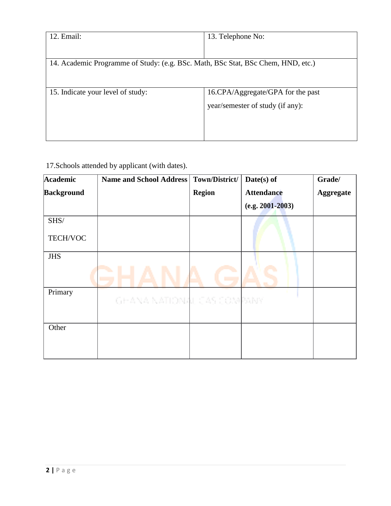| 12. Email:                                                                       | 13. Telephone No:                 |  |
|----------------------------------------------------------------------------------|-----------------------------------|--|
|                                                                                  |                                   |  |
| 14. Academic Programme of Study: (e.g. BSc. Math, BSc Stat, BSc Chem, HND, etc.) |                                   |  |
|                                                                                  |                                   |  |
| 15. Indicate your level of study:                                                | 16.CPA/Aggregate/GPA for the past |  |
|                                                                                  | year/semester of study (if any):  |  |
|                                                                                  |                                   |  |
|                                                                                  |                                   |  |
|                                                                                  |                                   |  |

17.Schools attended by applicant (with dates).

| <b>Academic</b>   | <b>Name and School Address</b> | Town/District/ | $Date(s)$ of         | Grade/           |
|-------------------|--------------------------------|----------------|----------------------|------------------|
| <b>Background</b> |                                | <b>Region</b>  | <b>Attendance</b>    | <b>Aggregate</b> |
|                   |                                |                | $(e.g. 2001 - 2003)$ |                  |
| SHS/              |                                |                |                      |                  |
| TECH/VOC          |                                |                |                      |                  |
| <b>JHS</b>        |                                |                |                      |                  |
|                   |                                |                |                      |                  |
| Primary           |                                |                |                      |                  |
|                   | GEANA NATIONAL CAS COMPANY     |                |                      |                  |
| Other             |                                |                |                      |                  |
|                   |                                |                |                      |                  |
|                   |                                |                |                      |                  |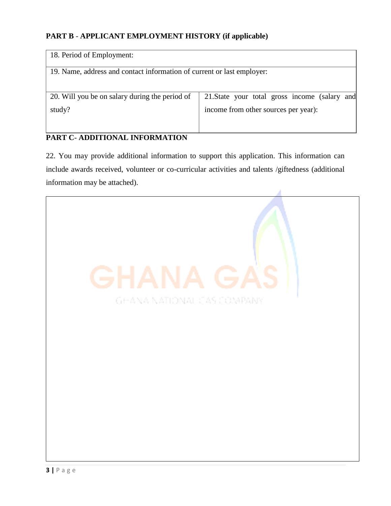## **PART B** - **APPLICANT EMPLOYMENT HISTORY (if applicable)**

| 18. Period of Employment:                                              |                                               |  |  |  |
|------------------------------------------------------------------------|-----------------------------------------------|--|--|--|
| 19. Name, address and contact information of current or last employer: |                                               |  |  |  |
|                                                                        |                                               |  |  |  |
| 20. Will you be on salary during the period of                         | 21. State your total gross income (salary and |  |  |  |
| study?                                                                 | income from other sources per year):          |  |  |  |
|                                                                        |                                               |  |  |  |

# **PART C**- **ADDITIONAL INFORMATION**

22. You may provide additional information to support this application. This information can include awards received, volunteer or co-curricular activities and talents /giftedness (additional information may be attached).

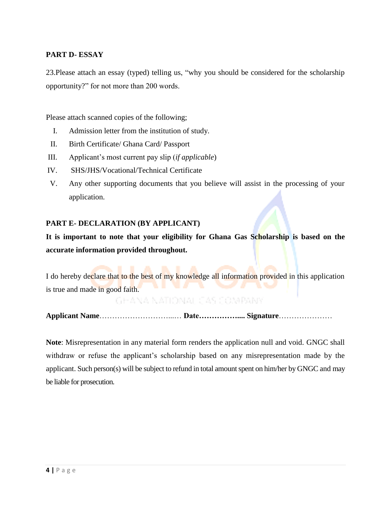### **PART D- ESSAY**

23.Please attach an essay (typed) telling us, "why you should be considered for the scholarship opportunity?" for not more than 200 words.

Please attach scanned copies of the following;

- I. Admission letter from the institution of study.
- II. Birth Certificate/ Ghana Card/ Passport
- III. Applicant's most current pay slip (*if applicable*)
- IV. SHS/JHS/Vocational/Technical Certificate
- V. Any other supporting documents that you believe will assist in the processing of your application.

#### **PART E- DECLARATION (BY APPLICANT)**

**It is important to note that your eligibility for Ghana Gas Scholarship is based on the accurate information provided throughout.**

I do hereby declare that to the best of my knowledge all information provided in this application is true and made in good faith.

GHANA NATIONAL CAS COMPANY

**Applicant Name**………………………...… **Date…………….... Signature**…………………

**Note**: Misrepresentation in any material form renders the application null and void. GNGC shall withdraw or refuse the applicant's scholarship based on any misrepresentation made by the applicant. Such person(s) will be subject to refund in total amount spent on him/her by GNGC and may be liable for prosecution.